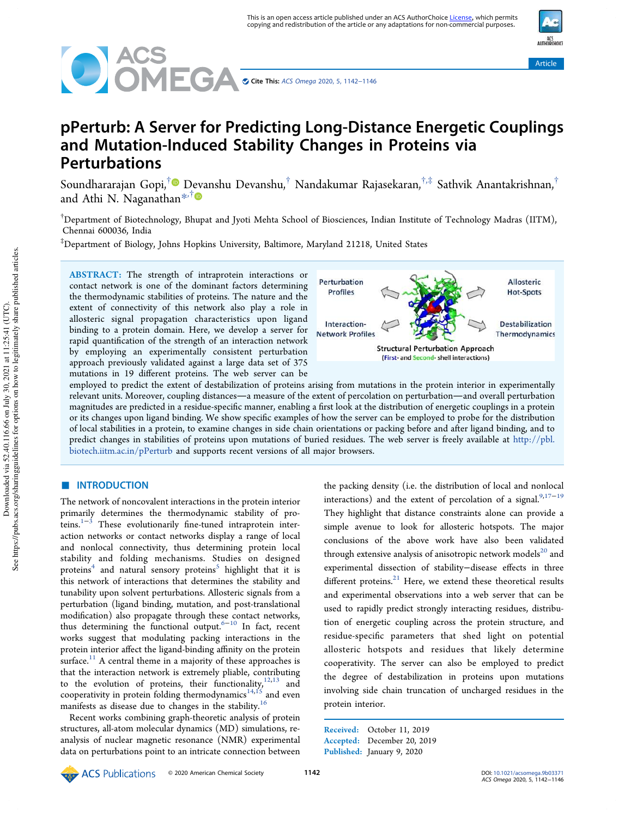



# pPerturb: A Server for Predicting Long-Distance Energetic Couplings and Mutation-Induced Stability Changes in Proteins via Perturbations

Soundhararajan Gopi, $^\dagger$ ® Devanshu Devanshu, $^\dagger$  Nandakumar Rajasekaran, $^{\dagger,\ddagger}$  Sathvik Anantakrishnan, $^\dagger$ and Athi N. Naganathan $*^{\dagger}$ 

 $^\dagger$ Department of Biotechnology, Bhupat and Jyoti Mehta School of Biosciences, Indian Institute of Technology Madras (IITM), Chennai 600036, India

‡Department of Biology, Johns Hopkins University, Baltimore, Maryland 21218, United States

ABSTRACT: The strength of intraprotein interactions or contact network is one of the dominant factors determining the thermodynamic stabilities of proteins. The nature and the extent of connectivity of this network also play a role in allosteric signal propagation characteristics upon ligand binding to a protein domain. Here, we develop a server for rapid quantification of the strength of an interaction network by employing an experimentally consistent perturbation approach previously validated against a large data set of 375 mutations in 19 different proteins. The web server can be



employed to predict the extent of destabilization of proteins arising from mutations in the protein interior in experimentally relevant units. Moreover, coupling distances—a measure of the extent of percolation on perturbation—and overall perturbation magnitudes are predicted in a residue-specific manner, enabling a first look at the distribution of energetic couplings in a protein or its changes upon ligand binding. We show specific examples of how the server can be employed to probe for the distribution of local stabilities in a protein, to examine changes in side chain orientations or packing before and after ligand binding, and to predict changes in stabilities of proteins upon mutations of buried residues. The web server is freely available at http://pbl. biotech.iitm.ac.in/pPerturb and supports recent versions of all major browsers.

# ■ INTRODUCTION

The network of noncovalent interactions in the protein interior primarily determines the thermodynamic stability of proteins. $1-3$  These evolutionarily fine-tuned intraprotein interaction networks or contact networks display a range of local and nonlocal connectivity, thus determining protein local stability and folding mechanisms. Studies on designed proteins<sup>4</sup> and natural sensory proteins<sup>5</sup> highlight that it is this network of interactions that determines the stability and tunability upon solvent perturbations. Allosteric signals from a perturbation (ligand binding, mutation, and post-translational modification) also propagate through these contact networks, thus determining the functional output.<sup>6-10</sup> In fact, recent works suggest that modulating packing interactions in the protein interior affect the ligand-binding affinity on the protein surface.<sup>11</sup> A central theme in a majority of these approaches is that the interaction network is extremely pliable, contributing to the evolution of proteins, their functionality, $12,13$  and cooperativity in protein folding thermodynamics $^{14,15}$  and even manifests as disease due to changes in the stability.<sup>16</sup>

Recent works combining graph-theoretic analysis of protein structures, all-atom molecular dynamics (MD) simulations, reanalysis of nuclear magnetic resonance (NMR) experimental data on perturbations point to an intricate connection between

the packing density (i.e. the distribution of local and nonlocal interactions) and the extent of percolation of a signal. $9,17-19$ They highlight that distance constraints alone can provide a simple avenue to look for allosteric hotspots. The major conclusions of the above work have also been validated through extensive analysis of anisotropic network models $^{20}$  and experimental dissection of stability−disease effects in three different proteins. $21$  Here, we extend these theoretical results and experimental observations into a web server that can be used to rapidly predict strongly interacting residues, distribution of energetic coupling across the protein structure, and residue-specific parameters that shed light on potential allosteric hotspots and residues that likely determine cooperativity. The server can also be employed to predict the degree of destabilization in proteins upon mutations involving side chain truncation of uncharged residues in the protein interior.

Received: October 11, 2019 Accepted: December 20, 2019 Published: January 9, 2020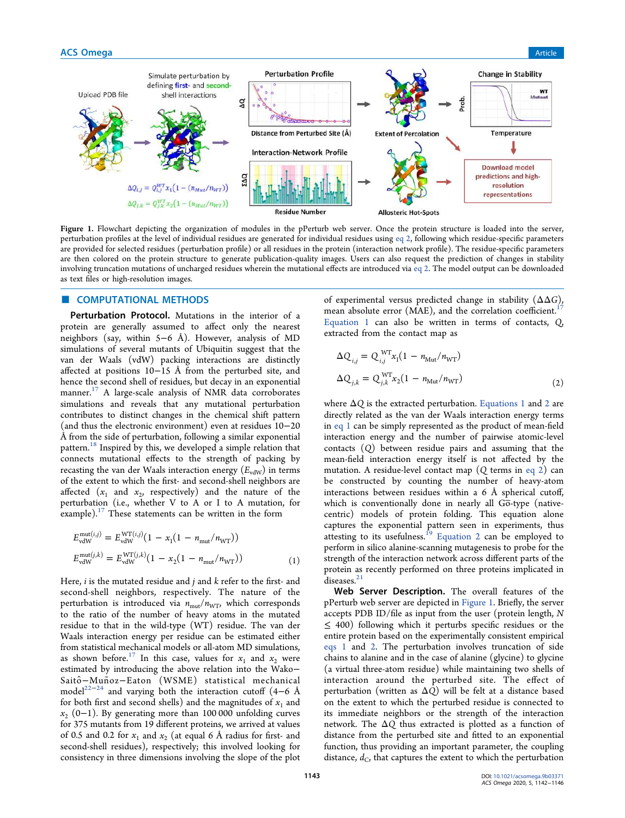

Figure 1. Flowchart depicting the organization of modules in the pPerturb web server. Once the protein structure is loaded into the server, perturbation profiles at the level of individual residues are generated for individual residues using eq 2, following which residue-specific parameters are provided for selected residues (perturbation profile) or all residues in the protein (interaction network profile). The residue-specific parameters are then colored on the protein structure to generate publication-quality images. Users can also request the prediction of changes in stability involving truncation mutations of uncharged residues wherein the mutational effects are introduced via eq 2. The model output can be downloaded as text files or high-resolution images.

# **COMPUTATIONAL METHODS**

Perturbation Protocol. Mutations in the interior of a protein are generally assumed to affect only the nearest neighbors (say, within 5−6 Å). However, analysis of MD simulations of several mutants of Ubiquitin suggest that the van der Waals (vdW) packing interactions are distinctly affected at positions 10−15 Å from the perturbed site, and hence the second shell of residues, but decay in an exponential manner. <sup>17</sup> A large-scale analysis of NMR data corroborates simulations and reveals that any mutational perturbation contributes to distinct changes in the chemical shift pattern (and thus the electronic environment) even at residues 10−20 Å from the side of perturbation, following a similar exponential pattern.<sup>18</sup> Inspired by this, we developed a simple relation that connects mutational effects to the strength of packing by recasting the van der Waals interaction energy  $(E_{vdW})$  in terms of the extent to which the first- and second-shell neighbors are affected  $(x_1$  and  $x_2$ , respectively) and the nature of the perturbation (i.e., whether V to A or I to A mutation, for example). $17$  These statements can be written in the form

$$
E_{\text{vdW}}^{\text{mut}(i,j)} = E_{\text{vdW}}^{\text{WT}(i,j)} (1 - x_1(1 - n_{\text{mut}}/n_{\text{WT}}))
$$
  
\n
$$
E_{\text{vdW}}^{\text{mut}(j,k)} = E_{\text{vdW}}^{\text{WT}(j,k)} (1 - x_2(1 - n_{\text{mut}}/n_{\text{WT}}))
$$
 (1)

Here,  $i$  is the mutated residue and  $j$  and  $k$  refer to the first- and second-shell neighbors, respectively. The nature of the perturbation is introduced via  $n_{\text{mut}}/n_{\text{WT}}$ , which corresponds to the ratio of the number of heavy atoms in the mutated residue to that in the wild-type (WT) residue. The van der Waals interaction energy per residue can be estimated either from statistical mechanical models or all-atom MD simulations, as shown before.<sup>17</sup> In this case, values for  $x_1$  and  $x_2$  were estimated by introducing the above relation into the Wako− Saitô−Muñoz−Eaton (WSME) statistical mechanical model<sup>22−24</sup> and varying both the interaction cutoff (4–6 Å for both first and second shells) and the magnitudes of  $x_1$  and  $x_2$  (0−1). By generating more than 100 000 unfolding curves for 375 mutants from 19 different proteins, we arrived at values of 0.5 and 0.2 for  $x_1$  and  $x_2$  (at equal 6 Å radius for first- and second-shell residues), respectively; this involved looking for consistency in three dimensions involving the slope of the plot

of experimental versus predicted change in stability  $(\Delta \Delta G)$ , mean absolute error (MAE), and the correlation coefficient.<sup>1</sup> Equation 1 can also be written in terms of contacts, Q, extracted from the contact map as

$$
\Delta Q_{i,j} = Q_{i,j}^{WT} x_1 (1 - n_{\text{Mut}} / n_{\text{WT}})
$$
  
\n
$$
\Delta Q_{j,k} = Q_{j,k}^{WT} x_2 (1 - n_{\text{Mut}} / n_{\text{WT}})
$$
\n(2)

where  $\Delta Q$  is the extracted perturbation. Equations 1 and 2 are directly related as the van der Waals interaction energy terms in eq 1 can be simply represented as the product of mean-field interaction energy and the number of pairwise atomic-level contacts (Q) between residue pairs and assuming that the mean-field interaction energy itself is not affected by the mutation. A residue-level contact map  $(Q$  terms in eq 2) can be constructed by counting the number of heavy-atom interactions between residues within a 6 Å spherical cutoff, which is conventionally done in nearly all  $G\overline{o}$ -type (nativecentric) models of protein folding. This equation alone captures the exponential pattern seen in experiments, thus attesting to its usefulness.<sup>19</sup> Equation 2 can be employed to perform in silico alanine-scanning mutagenesis to probe for the strength of the interaction network across different parts of the protein as recently performed on three proteins implicated in diseases.<sup>21</sup>

Web Server Description. The overall features of the pPerturb web server are depicted in Figure 1. Briefly, the server accepts PDB ID/file as input from the user (protein length, N  $\leq$  400) following which it perturbs specific residues or the entire protein based on the experimentally consistent empirical eqs 1 and 2. The perturbation involves truncation of side chains to alanine and in the case of alanine (glycine) to glycine (a virtual three-atom residue) while maintaining two shells of interaction around the perturbed site. The effect of perturbation (written as  $\Delta Q$ ) will be felt at a distance based on the extent to which the perturbed residue is connected to its immediate neighbors or the strength of the interaction network. The  $\Delta Q$  thus extracted is plotted as a function of distance from the perturbed site and fitted to an exponential function, thus providing an important parameter, the coupling distance,  $d_{\rm C}$ , that captures the extent to which the perturbation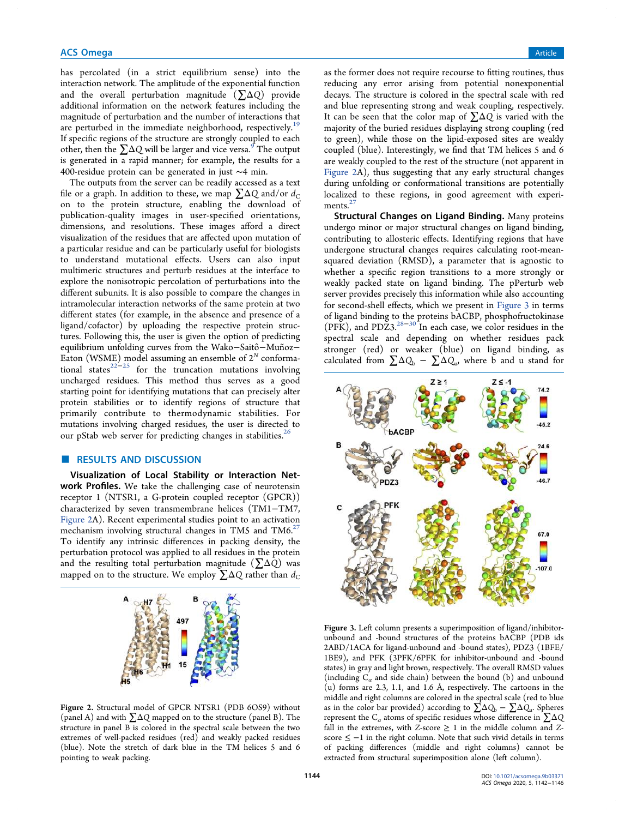has percolated (in a strict equilibrium sense) into the interaction network. The amplitude of the exponential function and the overall perturbation magnitude  $(\Sigma \Delta Q)$  provide additional information on the network features including the magnitude of perturbation and the number of interactions that are perturbed in the immediate neighborhood, respectively.<sup>19</sup> If specific regions of the structure are strongly coupled to each other, then the  $\sum \Delta Q$  will be larger and vice versa.<sup>9</sup> The output is generated in a rapid manner; for example, the results for a 400-residue protein can be generated in just ∼4 min.

The outputs from the server can be readily accessed as a text file or a graph. In addition to these, we map  $\sum \Delta Q$  and/or  $d_C$ on to the protein structure, enabling the download of publication-quality images in user-specified orientations, dimensions, and resolutions. These images afford a direct visualization of the residues that are affected upon mutation of a particular residue and can be particularly useful for biologists to understand mutational effects. Users can also input multimeric structures and perturb residues at the interface to explore the nonisotropic percolation of perturbations into the different subunits. It is also possible to compare the changes in intramolecular interaction networks of the same protein at two different states (for example, in the absence and presence of a ligand/cofactor) by uploading the respective protein structures. Following this, the user is given the option of predicting equilibrium unfolding curves from the Wako-Saitô-Muñoz-Eaton (WSME) model assuming an ensemble of  $2^N$  conformational states<sup>22−25</sup> for the truncation mutations involving uncharged residues. This method thus serves as a good starting point for identifying mutations that can precisely alter protein stabilities or to identify regions of structure that primarily contribute to thermodynamic stabilities. For mutations involving charged residues, the user is directed to our pStab web server for predicting changes in stabilities.<sup>2</sup>

# ■ RESULTS AND DISCUSSION

Visualization of Local Stability or Interaction Network Profiles. We take the challenging case of neurotensin receptor 1 (NTSR1, a G-protein coupled receptor (GPCR)) characterized by seven transmembrane helices (TM1−TM7, Figure 2A). Recent experimental studies point to an activation mechanism involving structural changes in TM5 and TM6.<sup>27</sup> To identify any intrinsic differences in packing density, the perturbation protocol was applied to all residues in the protein and the resulting total perturbation magnitude ( $\Sigma\Delta Q$ ) was mapped on to the structure. We employ  $\Sigma\Delta Q$  rather than  $d_C$ 



Figure 2. Structural model of GPCR NTSR1 (PDB 6OS9) without (panel A) and with ∑ΔQ mapped on to the structure (panel B). The structure in panel B is colored in the spectral scale between the two extremes of well-packed residues (red) and weakly packed residues (blue). Note the stretch of dark blue in the TM helices 5 and 6 pointing to weak packing.

as the former does not require recourse to fitting routines, thus reducing any error arising from potential nonexponential decays. The structure is colored in the spectral scale with red and blue representing strong and weak coupling, respectively. It can be seen that the color map of  $\Sigma\Delta Q$  is varied with the majority of the buried residues displaying strong coupling (red to green), while those on the lipid-exposed sites are weakly coupled (blue). Interestingly, we find that TM helices 5 and 6 are weakly coupled to the rest of the structure (not apparent in Figure 2A), thus suggesting that any early structural changes during unfolding or conformational transitions are potentially localized to these regions, in good agreement with experi $ments.<sup>2</sup>$ 

Structural Changes on Ligand Binding. Many proteins undergo minor or major structural changes on ligand binding, contributing to allosteric effects. Identifying regions that have undergone structural changes requires calculating root-meansquared deviation (RMSD), a parameter that is agnostic to whether a specific region transitions to a more strongly or weakly packed state on ligand binding. The pPerturb web server provides precisely this information while also accounting for second-shell effects, which we present in Figure 3 in terms of ligand binding to the proteins bACBP, phosphofructokinase  $(PFK)$ , and  $PDZ3.^{28-30}$  In each case, we color residues in the spectral scale and depending on whether residues pack stronger (red) or weaker (blue) on ligand binding, as calculated from  $\sum \Delta Q_{\rm b}$  –  $\sum \Delta Q_{\rm uv}$  where b and u stand for



Figure 3. Left column presents a superimposition of ligand/inhibitorunbound and -bound structures of the proteins bACBP (PDB ids 2ABD/1ACA for ligand-unbound and -bound states), PDZ3 (1BFE/ 1BE9), and PFK (3PFK/6PFK for inhibitor-unbound and -bound states) in gray and light brown, respectively. The overall RMSD values (including  $C_{\alpha}$  and side chain) between the bound (b) and unbound (u) forms are 2.3, 1.1, and 1.6 Å, respectively. The cartoons in the middle and right columns are colored in the spectral scale (red to blue as in the color bar provided) according to  $\sum \Delta Q_{\rm b} - \sum \Delta Q_{\rm u}$ . Spheres represent the  $C_{\alpha}$  atoms of specific residues whose difference in  $\sum \Delta Q$ fall in the extremes, with Z-score  $\geq 1$  in the middle column and Zscore ≤ −1 in the right column. Note that such vivid details in terms of packing differences (middle and right columns) cannot be extracted from structural superimposition alone (left column).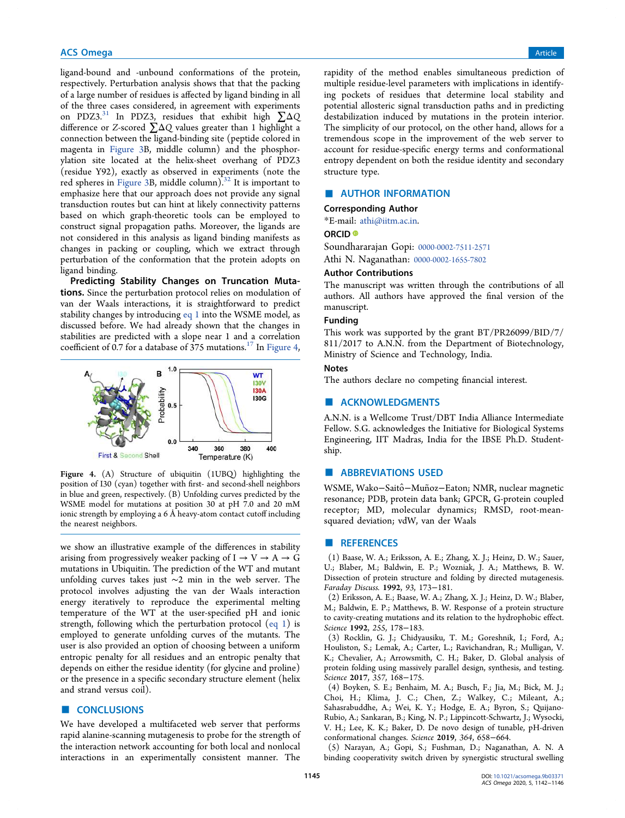ligand-bound and -unbound conformations of the protein, respectively. Perturbation analysis shows that that the packing of a large number of residues is affected by ligand binding in all of the three cases considered, in agreement with experiments on PDZ3.<sup>31</sup> In PDZ3, residues that exhibit high  $\Sigma \Delta Q$ difference or Z-scored ∑ΔQ values greater than 1 highlight a connection between the ligand-binding site (peptide colored in magenta in Figure 3B, middle column) and the phosphorylation site located at the helix-sheet overhang of PDZ3 (residue Y92), exactly as observed in experiments (note the red spheres in Figure 3B, middle column).<sup>32</sup> It is important to emphasize here that our approach does not provide any signal transduction routes but can hint at likely connectivity patterns based on which graph-theoretic tools can be employed to construct signal propagation paths. Moreover, the ligands are not considered in this analysis as ligand binding manifests as changes in packing or coupling, which we extract through perturbation of the conformation that the protein adopts on ligand binding.

Predicting Stability Changes on Truncation Mutations. Since the perturbation protocol relies on modulation of van der Waals interactions, it is straightforward to predict stability changes by introducing eq 1 into the WSME model, as discussed before. We had already shown that the changes in stabilities are predicted with a slope near 1 and a correlation coefficient of 0.7 for a database of  $375$  mutations.<sup>17</sup> In Figure 4,



Figure 4. (A) Structure of ubiquitin (1UBQ) highlighting the position of I30 (cyan) together with first- and second-shell neighbors in blue and green, respectively. (B) Unfolding curves predicted by the WSME model for mutations at position 30 at pH 7.0 and 20 mM ionic strength by employing a 6 Å heavy-atom contact cutoff including the nearest neighbors.

we show an illustrative example of the differences in stability arising from progressively weaker packing of  $I \rightarrow V \rightarrow A \rightarrow G$ mutations in Ubiquitin. The prediction of the WT and mutant unfolding curves takes just ∼2 min in the web server. The protocol involves adjusting the van der Waals interaction energy iteratively to reproduce the experimental melting temperature of the WT at the user-specified pH and ionic strength, following which the perturbation protocol (eq 1) is employed to generate unfolding curves of the mutants. The user is also provided an option of choosing between a uniform entropic penalty for all residues and an entropic penalty that depends on either the residue identity (for glycine and proline) or the presence in a specific secondary structure element (helix and strand versus coil).

## ■ **CONCLUSIONS**

We have developed a multifaceted web server that performs rapid alanine-scanning mutagenesis to probe for the strength of the interaction network accounting for both local and nonlocal interactions in an experimentally consistent manner. The

rapidity of the method enables simultaneous prediction of multiple residue-level parameters with implications in identifying pockets of residues that determine local stability and potential allosteric signal transduction paths and in predicting destabilization induced by mutations in the protein interior. The simplicity of our protocol, on the other hand, allows for a tremendous scope in the improvement of the web server to account for residue-specific energy terms and conformational entropy dependent on both the residue identity and secondary structure type.

# **E** AUTHOR INFORMATION

#### Corresponding Author

\*E-mail: athi@iitm.ac.in.

## ORCID<sup>®</sup>

Soundhararajan Gopi: 0000-0002-7511-2571 Athi N. Naganathan: 0000-0002-1655-7802

#### Author Contributions

The manuscript was written through the contributions of all authors. All authors have approved the final version of the manuscript.

## Funding

This work was supported by the grant BT/PR26099/BID/7/ 811/2017 to A.N.N. from the Department of Biotechnology, Ministry of Science and Technology, India.

### **Notes**

The authors declare no competing financial interest.

#### ■ ACKNOWLEDGMENTS

A.N.N. is a Wellcome Trust/DBT India Alliance Intermediate Fellow. S.G. acknowledges the Initiative for Biological Systems Engineering, IIT Madras, India for the IBSE Ph.D. Studentship.

#### ■ ABBREVIATIONS USED

WSME, Wako-Saitô−Muñoz-Eaton; NMR, nuclear magnetic resonance; PDB, protein data bank; GPCR, G-protein coupled receptor; MD, molecular dynamics; RMSD, root-meansquared deviation; vdW, van der Waals

## **ENDERGERIENCES**

(1) Baase, W. A.; Eriksson, A. E.; Zhang, X. J.; Heinz, D. W.; Sauer, U.; Blaber, M.; Baldwin, E. P.; Wozniak, J. A.; Matthews, B. W. Dissection of protein structure and folding by directed mutagenesis. Faraday Discuss. 1992, 93, 173−181.

(2) Eriksson, A. E.; Baase, W. A.; Zhang, X. J.; Heinz, D. W.; Blaber, M.; Baldwin, E. P.; Matthews, B. W. Response of a protein structure to cavity-creating mutations and its relation to the hydrophobic effect. Science 1992, 255, 178−183.

(3) Rocklin, G. J.; Chidyausiku, T. M.; Goreshnik, I.; Ford, A.; Houliston, S.; Lemak, A.; Carter, L.; Ravichandran, R.; Mulligan, V. K.; Chevalier, A.; Arrowsmith, C. H.; Baker, D. Global analysis of protein folding using massively parallel design, synthesis, and testing. Science 2017, 357, 168−175.

(4) Boyken, S. E.; Benhaim, M. A.; Busch, F.; Jia, M.; Bick, M. J.; Choi, H.; Klima, J. C.; Chen, Z.; Walkey, C.; Mileant, A.; Sahasrabuddhe, A.; Wei, K. Y.; Hodge, E. A.; Byron, S.; Quijano-Rubio, A.; Sankaran, B.; King, N. P.; Lippincott-Schwartz, J.; Wysocki, V. H.; Lee, K. K.; Baker, D. De novo design of tunable, pH-driven conformational changes. Science 2019, 364, 658−664.

(5) Narayan, A.; Gopi, S.; Fushman, D.; Naganathan, A. N. A binding cooperativity switch driven by synergistic structural swelling